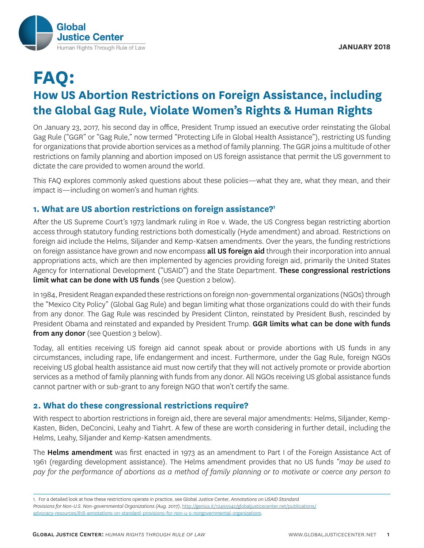

# **FAQ: How US Abortion Restrictions on Foreign Assistance, including the Global Gag Rule, Violate Women's Rights & Human Rights**

On January 23, 2017, his second day in office, President Trump issued an executive order reinstating the Global Gag Rule ("GGR" or "Gag Rule," now termed "Protecting Life in Global Health Assistance"), restricting US funding for organizations that provide abortion services as a method of family planning. The GGR joins a multitude of other restrictions on family planning and abortion imposed on US foreign assistance that permit the US government to dictate the care provided to women around the world.

This FAQ explores commonly asked questions about these policies—what they are, what they mean, and their impact is—including on women's and human rights.

# **1. What are US abortion restrictions on foreign assistance?1**

After the US Supreme Court's 1973 landmark ruling in Roe v. Wade, the US Congress began restricting abortion access through statutory funding restrictions both domestically (Hyde amendment) and abroad. Restrictions on foreign aid include the Helms, Siljander and Kemp-Katsen amendments. Over the years, the funding restrictions on foreign assistance have grown and now encompass all US foreign aid through their incorporation into annual appropriations acts, which are then implemented by agencies providing foreign aid, primarily the United States Agency for International Development ("USAID") and the State Department. These congressional restrictions limit what can be done with US funds (see Question 2 below).

In 1984, President Reagan expanded these restrictions on foreign non-governmental organizations (NGOs) through the "Mexico City Policy" (Global Gag Rule) and began limiting what those organizations could do with their funds from any donor. The Gag Rule was rescinded by President Clinton, reinstated by President Bush, rescinded by President Obama and reinstated and expanded by President Trump. GGR limits what can be done with funds from any donor (see Question 3 below).

Today, all entities receiving US foreign aid cannot speak about or provide abortions with US funds in any circumstances, including rape, life endangerment and incest. Furthermore, under the Gag Rule, foreign NGOs receiving US global health assistance aid must now certify that they will not actively promote or provide abortion services as a method of family planning with funds from any donor. All NGOs receiving US global assistance funds cannot partner with or sub-grant to any foreign NGO that won't certify the same.

# **2. What do these congressional restrictions require?**

With respect to abortion restrictions in foreign aid, there are several major amendments: Helms, Siljander, Kemp-Kasten, Biden, DeConcini, Leahy and Tiahrt. A few of these are worth considering in further detail, including the Helms, Leahy, Siljander and Kemp-Katsen amendments.

The Helms amendment was first enacted in 1973 as an amendment to Part I of the Foreign Assistance Act of 1961 (regarding development assistance). The Helms amendment provides that no US funds *"may be used to pay for the performance of abortions as a method of family planning or to motivate or coerce any person to* 

<sup>1.</sup> For a detailed look at how these restrictions operate in practice, see Global Justice Center, *Annotations on USAID Standard Provisions for Non-U.S. Non-governmental Organizations (Aug. 2017)*, http://genius.it/12495942/globaljusticecenter.net/publications/ advocacy-resources/818-annotations-on-standard-provisions-for-non-u-s-nongovernmental-organizations.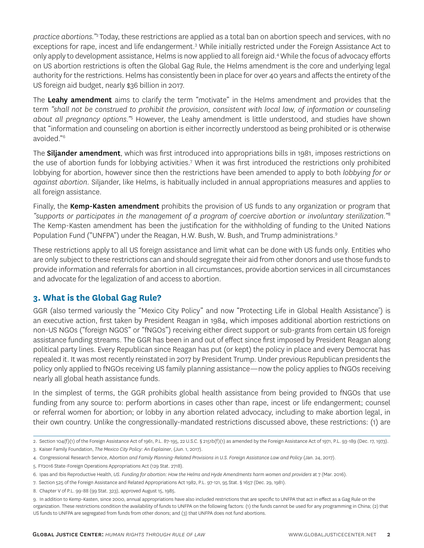*practice abortions."*<sup>2</sup> Today, these restrictions are applied as a total ban on abortion speech and services, with no exceptions for rape, incest and life endangerment.<sup>3</sup> While initially restricted under the Foreign Assistance Act to only apply to development assistance, Helms is now applied to all foreign aid.<sup>4</sup> While the focus of advocacy efforts on US abortion restrictions is often the Global Gag Rule, the Helms amendment is the core and underlying legal authority for the restrictions. Helms has consistently been in place for over 40 years and affects the entirety of the US foreign aid budget, nearly \$36 billion in 2017.

The Leahy amendment aims to clarify the term "motivate" in the Helms amendment and provides that the term *"shall not be construed to prohibit the provision, consistent with local law, of information or counseling about all pregnancy options."*<sup>5</sup> However, the Leahy amendment is little understood, and studies have shown that "information and counseling on abortion is either incorrectly understood as being prohibited or is otherwise avoided."6

The **Siljander amendment**, which was first introduced into appropriations bills in 1981, imposes restrictions on the use of abortion funds for lobbying activities.<sup>7</sup> When it was first introduced the restrictions only prohibited lobbying for abortion, however since then the restrictions have been amended to apply to both *lobbying for or against abortion.* Siljander, like Helms, is habitually included in annual appropriations measures and applies to all foreign assistance.

Finally, the **Kemp-Kasten amendment** prohibits the provision of US funds to any organization or program that *"supports or participates in the management of a program of coercive abortion or involuntary sterilization."*<sup>8</sup> The Kemp-Kasten amendment has been the justification for the withholding of funding to the United Nations Population Fund ("UNFPA") under the Reagan, H.W. Bush, W. Bush, and Trump administrations.<sup>9</sup>

These restrictions apply to all US foreign assistance and limit what can be done with US funds only. Entities who are only subject to these restrictions can and should segregate their aid from other donors and use those funds to provide information and referrals for abortion in all circumstances, provide abortion services in all circumstances and advocate for the legalization of and access to abortion.

# **3. What is the Global Gag Rule?**

GGR (also termed variously the "Mexico City Policy" and now "Protecting Life in Global Health Assistance') is an executive action, first taken by President Reagan in 1984, which imposes additional abortion restrictions on non-US NGOs ("foreign NGOS" or "fNGOs") receiving either direct support or sub-grants from certain US foreign assistance funding streams. The GGR has been in and out of effect since first imposed by President Reagan along political party lines. Every Republican since Reagan has put (or kept) the policy in place and every Democrat has repealed it. It was most recently reinstated in 2017 by President Trump. Under previous Republican presidents the policy only applied to fNGOs receiving US family planning assistance—now the policy applies to fNGOs receiving nearly all global heath assistance funds.

In the simplest of terms, the GGR prohibits global health assistance from being provided to fNGOs that use funding from any source to: perform abortions in cases other than rape, incest or life endangerment; counsel or referral women for abortion; or lobby in any abortion related advocacy, including to make abortion legal, in their own country. Unlike the congressionally-mandated restrictions discussed above, these restrictions: (1) are

<sup>2.</sup> Section 104(f)(1) of the Foreign Assistance Act of 1961, P.L. 87-195, 22 U.S.C. § 2151b(f)(1) as amended by the Foreign Assistance Act of 1971, P.L. 93-189 (Dec. 17, 1973).

<sup>3.</sup> Kaiser Family Foundation, *The Mexico City Policy: An Explainer*, (Jun. 1, 2017).

<sup>4.</sup> Congressional Research Service, A*bortion and Family Planning-Related Provisions in U.S. Foreign Assistance Law and Policy* (Jan. 24, 2017).

<sup>5.</sup> FY2016 State-Foreign Operations Appropriations Act (129 Stat. 2718).

<sup>6.</sup> Ipas and Ibis Reproductive Health, *US. Funding for abortion: How the Helms and Hyde Amendments harm women and providers* at 7 (Mar. 2016).

<sup>7.</sup> Section 525 of the Foreign Assistance and Related Appropriations Act 1982, P.L. 97-121, 95 Stat. § 1657 (Dec. 29, 1981).

<sup>8.</sup> Chapter V of P.L. 99-88 (99 Stat. 323), approved August 15, 1985.

<sup>9.</sup> In addition to Kemp-Kasten, since 2000, annual appropriations have also included restrictions that are specific to UNFPA that act in effect as a Gag Rule on the organization. These restrictions condition the availability of funds to UNFPA on the following factors: (1) the funds cannot be used for any programming in China; (2) that US funds to UNFPA are segregated from funds from other donors; and (3) that UNFPA does not fund abortions.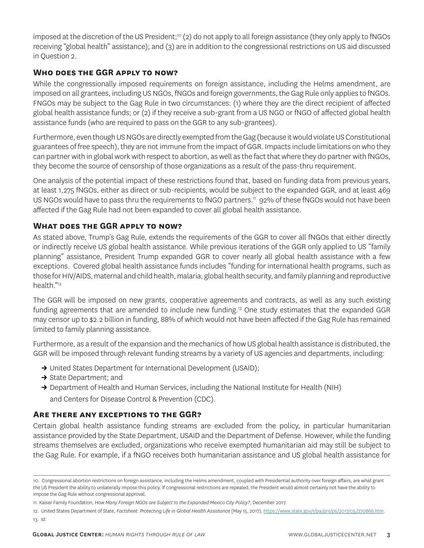imposed at the discretion of the US President;<sup>10</sup> (2) do not apply to all foreign assistance (they only apply to fNGOs receiving "global health" assistance); and (3) are in addition to the congressional restrictions on US aid discussed in Question 2.

#### **Who does the GGR apply to now?**

While the congressionally imposed requirements on foreign assistance, including the Helms amendment, are imposed on all grantees, including US NGOs, fNGOs and foreign governments, the Gag Rule only applies to fNGOs. FNGOs may be subject to the Gag Rule in two circumstances: (1) where they are the direct recipient of affected global health assistance funds; or (2) if they receive a sub-grant from a US NGO or fNGO of affected global health assistance funds (who are required to pass on the GGR to any sub-grantees).

Furthermore, even though US NGOs are directly exempted from the Gag (because it would violate US Constitutional guarantees of free speech), they are not immune from the impact of GGR. Impacts include limitations on who they can partner with in global work with respect to abortion, as well as the fact that where they do partner with fNGOs, they become the source of censorship of those organizations as a result of the pass-thru requirement.

One analysis of the potential impact of these restrictions found that, based on funding data from previous years, at least 1,275 fNGOs, either as direct or sub-recipients, would be subject to the expanded GGR, and at least 469 US NGOs would have to pass thru the requirements to fNGO partners.<sup>11</sup> 92% of these fNGOs would not have been affected if the Gag Rule had not been expanded to cover all global health assistance.

### **What does the GGR apply to now?**

As stated above, Trump's Gag Rule, extends the requirements of the GGR to cover all fNGOs that either directly or indirectly receive US global health assistance. While previous iterations of the GGR only applied to US "family planning" assistance, President Trump expanded GGR to cover nearly all global health assistance with a few exceptions. Covered global health assistance funds includes "funding for international health programs, such as those for HIV/AIDS, maternal and child health, malaria, global health security, and family planning and reproductive health."12

The GGR will be imposed on new grants, cooperative agreements and contracts, as well as any such existing funding agreements that are amended to include new funding.13 One study estimates that the expanded GGR may censor up to \$2.2 billion in funding, 88% of which would not have been affected if the Gag Rule has remained limited to family planning assistance.

Furthermore, as a result of the expansion and the mechanics of how US global health assistance is distributed, the GGR will be imposed through relevant funding streams by a variety of US agencies and departments, including:

- **→** United States Department for International Development (USAID);
- **→** State Department; and
- **→** Department of Health and Human Services, including the National Institute for Health (NIH)

and Centers for Disease Control & Prevention (CDC).

#### **Are there any exceptions to the GGR?**

Certain global health assistance funding streams are excluded from the policy, in particular humanitarian assistance provided by the State Department, USAID and the Department of Defense. However, while the funding streams themselves are excluded, organizations who receive exempted humanitarian aid may still be subject to the Gag Rule. For example, if a fNGO receives both humanitarian assistance and US global health assistance for

<sup>10.</sup> Congressional abortion restrictions on foreign assistance, including the Helms amendment, coupled with Presidential authority over foreign affairs, are what grant the US President the ability to unilaterally impose this policy. If congressional restrictions are repealed, the President would almost certainly not have the ability to impose the Gag Rule without congressional approval.

<sup>11.</sup> Kaiser Family Foundation, *How Many Foreign NGOs are Subject to the Expanded Mexico City Policy?*, December 2017.

<sup>12.</sup> United States Department of State, *Factsheet: Protecting Life in Global Health Assistance* (May 15, 2017), https://www.state.gov/r/pa/prs/ps/2017/05/270866.htm. 13. *Id.*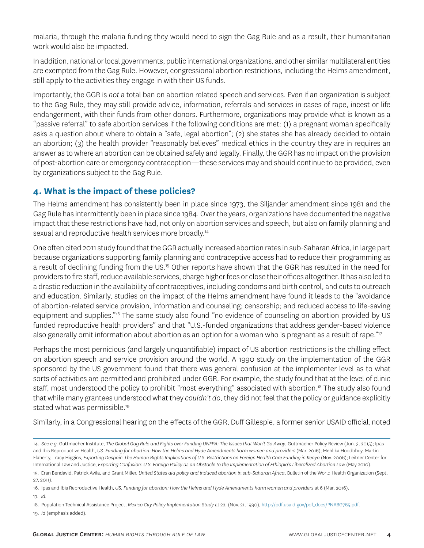malaria, through the malaria funding they would need to sign the Gag Rule and as a result, their humanitarian work would also be impacted.

In addition, national or local governments, public international organizations, and other similar multilateral entities are exempted from the Gag Rule. However, congressional abortion restrictions, including the Helms amendment, still apply to the activities they engage in with their US funds.

Importantly, the GGR is *not* a total ban on abortion related speech and services. Even if an organization is subject to the Gag Rule, they may still provide advice, information, referrals and services in cases of rape, incest or life endangerment, with their funds from other donors. Furthermore, organizations may provide what is known as a "passive referral" to safe abortion services if the following conditions are met: (1) a pregnant woman specifically asks a question about where to obtain a "safe, legal abortion"; (2) she states she has already decided to obtain an abortion; (3) the health provider "reasonably believes" medical ethics in the country they are in requires an answer as to where an abortion can be obtained safely and legally. Finally, the GGR has no impact on the provision of post-abortion care or emergency contraception—these services may and should continue to be provided, even by organizations subject to the Gag Rule.

# **4. What is the impact of these policies?**

The Helms amendment has consistently been in place since 1973, the Siljander amendment since 1981 and the Gag Rule has intermittently been in place since 1984. Over the years, organizations have documented the negative impact that these restrictions have had, not only on abortion services and speech, but also on family planning and sexual and reproductive health services more broadly.<sup>14</sup>

One often cited 2011 study found that the GGR actually increased abortion rates in sub-Saharan Africa, in large part because organizations supporting family planning and contraceptive access had to reduce their programming as a result of declining funding from the US.15 Other reports have shown that the GGR has resulted in the need for providers to fire staff, reduce available services, charge higher fees or close their offices altogether. It has also led to a drastic reduction in the availability of contraceptives, including condoms and birth control, and cuts to outreach and education. Similarly, studies on the impact of the Helms amendment have found it leads to the "avoidance of abortion-related service provision, information and counseling; censorship; and reduced access to life-saving equipment and supplies."<sup>16</sup> The same study also found "no evidence of counseling on abortion provided by US funded reproductive health providers" and that "U.S.-funded organizations that address gender-based violence also generally omit information about abortion as an option for a woman who is pregnant as a result of rape."<sup>17</sup>

Perhaps the most pernicious (and largely unquantifiable) impact of US abortion restrictions is the chilling effect on abortion speech and service provision around the world. A 1990 study on the implementation of the GGR sponsored by the US government found that there was general confusion at the implementer level as to what sorts of activities are permitted and prohibited under GGR. For example, the study found that at the level of clinic staff, most understood the policy to prohibit "most everything" associated with abortion.<sup>18</sup> The study also found that while many grantees understood what they *couldn't do*, they did not feel that the policy or guidance explicitly stated what was permissible.<sup>19</sup>

Similarly, in a Congressional hearing on the effects of the GGR, Duff Gillespie, a former senior USAID official, noted

17. *Id.* 

19. *Id* (emphasis added).

<sup>14.</sup> *See e.g.* Guttmacher Institute, *The Global Gag Rule and Fights over Funding UNFPA: The Issues that Won't Go Away*, Guttmacher Policy Review (Jun. 3, 2015); Ipas and Ibis Reproductive Health, *US. Funding for abortion: How the Helms and Hyde Amendments harm women and providers* (Mar. 2016); Mehlika Hoodbhoy, Martin Flaherty, Tracy Higgins, *Exporting Despair: The Human Rights Implications of U.S. Restrictions on Foreign Health Care Funding in Kenya* (Nov. 2006); Leitner Center for International Law and Justice, *Exporting Confusion: U.S. Foreign Policy as an Obstacle to the Implementation of Ethiopia's Liberalized Abortion Law* (May 2010).

<sup>15.</sup> Eran Bendavid, Patrick Avila, and Grant Miller, *United States aid policy and induced abortion in sub-Saharan Africa*, Bulletin of the World Health Organization (Sept. 27, 2011).

<sup>16.</sup> Ipas and Ibis Reproductive Health, *US. Funding for abortion: How the Helms and Hyde Amendments harm women and providers* at 6 (Mar. 2016).

<sup>18.</sup> Population Technical Assistance Project, *Mexico City Policy Implementation Study* at 22, (Nov. 21, 1990), http://pdf.usaid.gov/pdf\_docs/PNABG765.pdf.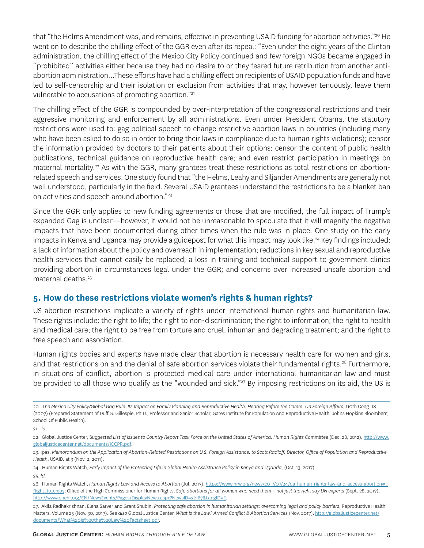that "the Helms Amendment was, and remains, effective in preventing USAID funding for abortion activities."<sup>20</sup> He went on to describe the chilling effect of the GGR even after its repeal: "Even under the eight years of the Clinton administration, the chilling effect of the Mexico City Policy continued and few foreign NGOs became engaged in ''prohibited'' activities either because they had no desire to or they feared future retribution from another antiabortion administration…These efforts have had a chilling effect on recipients of USAID population funds and have led to self-censorship and their isolation or exclusion from activities that may, however tenuously, leave them vulnerable to accusations of promoting abortion."21

The chilling effect of the GGR is compounded by over-interpretation of the congressional restrictions and their aggressive monitoring and enforcement by all administrations. Even under President Obama, the statutory restrictions were used to: gag political speech to change restrictive abortion laws in countries (including many who have been asked to do so in order to bring their laws in compliance due to human rights violations); censor the information provided by doctors to their patients about their options; censor the content of public health publications, technical guidance on reproductive health care; and even restrict participation in meetings on maternal mortality.<sup>22</sup> As with the GGR, many grantees treat these restrictions as total restrictions on abortionrelated speech and services. One study found that "the Helms, Leahy and Siljander Amendments are generally not well understood, particularly in the field. Several USAID grantees understand the restrictions to be a blanket ban on activities and speech around abortion."23

Since the GGR only applies to new funding agreements or those that are modified, the full impact of Trump's expanded Gag is unclear—however, it would not be unreasonable to speculate that it will magnify the negative impacts that have been documented during other times when the rule was in place. One study on the early impacts in Kenya and Uganda may provide a guidepost for what this impact may look like.<sup>24</sup> Key findings included: a lack of information about the policy and overreach in implementation; reductions in key sexual and reproductive health services that cannot easily be replaced; a loss in training and technical support to government clinics providing abortion in circumstances legal under the GGR; and concerns over increased unsafe abortion and maternal deaths.<sup>25</sup>

# **5. How do these restrictions violate women's rights & human rights?**

US abortion restrictions implicate a variety of rights under international human rights and humanitarian law. These rights include: the right to life; the right to non-discrimination; the right to information; the right to health and medical care; the right to be free from torture and cruel, inhuman and degrading treatment; and the right to free speech and association.

Human rights bodies and experts have made clear that abortion is necessary health care for women and girls, and that restrictions on and the denial of safe abortion services violate their fundamental rights.<sup>26</sup> Furthermore, in situations of conflict, abortion is protected medical care under international humanitarian law and must be provided to all those who qualify as the "wounded and sick."<sup>27</sup> By imposing restrictions on its aid, the US is

<sup>20.</sup> *The Mexico City Policy/Global Gag Rule: Its Impact on Family Planning and Reproductive Health: Hearing Before the Comm. On Foreign Affairs*, 110th Cong. 18 (2007) (Prepared Statement of Duff G. Gillespie, Ph.D., Professor and Senior Scholar, Gates Institute for Population And Reproductive Health, Johns Hopkins Bloomberg School Of Public Health).

<sup>21.</sup> *Id.* 

<sup>22.</sup> Global Justice Center, S*uggested List of Issues to Country Report Task Force on the United States of America, Human Rights Committee* (Dec. 28, 2012), http://www. globaljusticecenter.net/documents/ICCPR.pdf.

<sup>23.</sup> Ipas, Memorandum on the Application of Abortion-Related Restrictions on U.S. Foreign Assistance, to Scott Radloff, Director, Office of Population and Reproductive *Health*, USAID, at 3 (Nov. 2, 2011).

<sup>24.</sup> Human Rights Watch, *Early Impact of the Protecting Life in Global Health Assistance Policy in Kenya and Uganda*, (Oct. 13, 2017).

<sup>25.</sup> *Id.* 

<sup>26.</sup> Human Rights Watch, Human Rights Law and Access to Abortion (Jul. 2017), https://www.hrw.org/news/2017/07/24/qa-human-rights-law-and-access-abortion# Right\_to\_enjoy; Office of the High Commissioner for Human Rights, *Safe abortions for all women who need them – not just the rich, say UN experts* (Sept. 28, 2017), http://www.ohchr.org/EN/NewsEvents/Pages/DisplayNews.aspx?NewsID=22167&LangID=E.

<sup>27.</sup> Akila Radhakrishnan, Elena Sarver and Grant Shubin, *Protecting safe abortion in humanitarian settings: overcoming legal and policy barriers*, Reproductive Health Matters, Volume 25 (Nov. 30, 2017). *See also* Global Justice Center, *What is the Law? Armed Conflict & Abortion Services* (Nov. 2017), http://globaljusticecenter.net/ documents/What%20is%20the%20Law%20Factsheet.pdf.